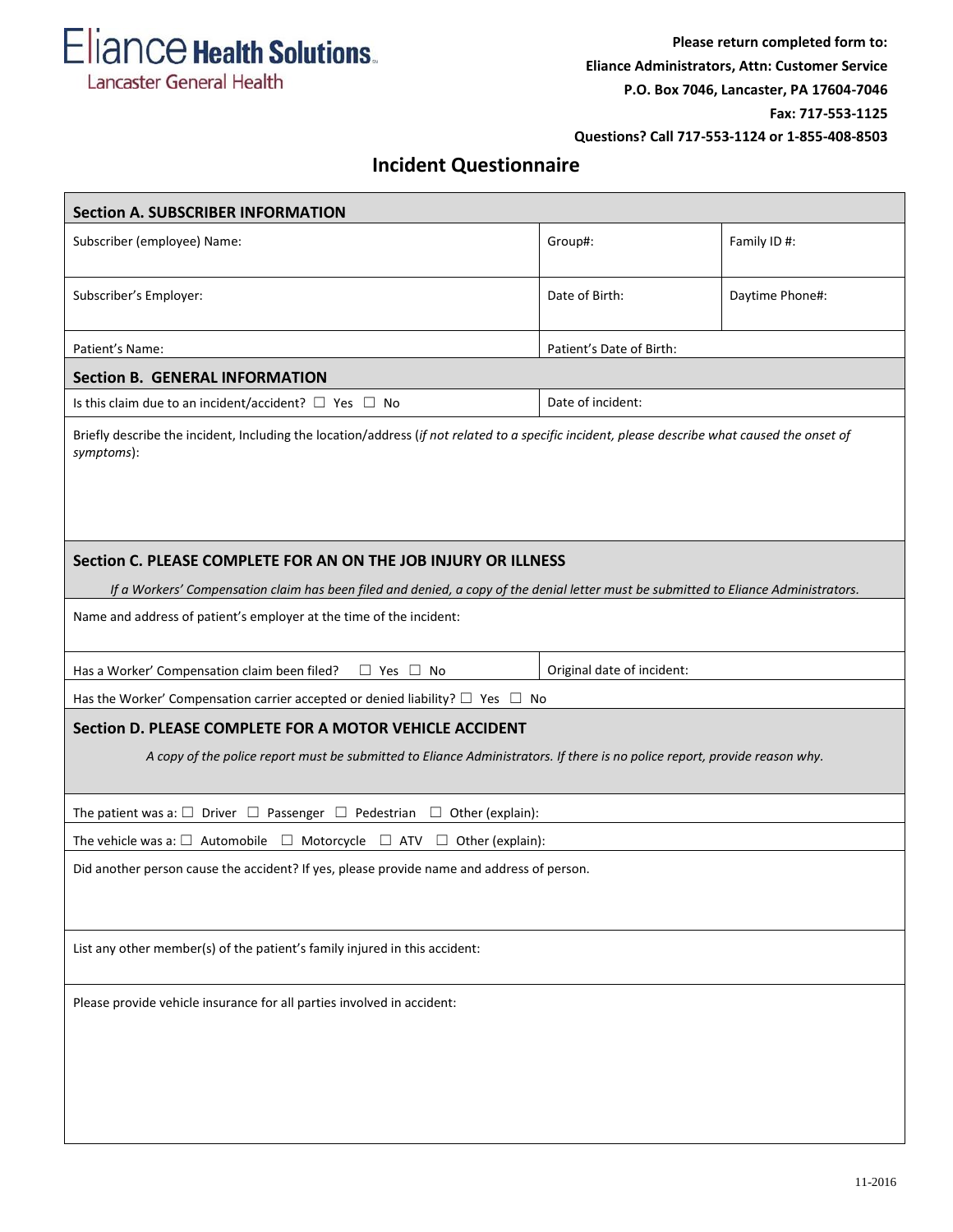Eliance Health Solutions. Lancaster General Health

## **Incident Questionnaire**

| <b>Section A. SUBSCRIBER INFORMATION</b>                                                                                                                                              |                            |                 |  |
|---------------------------------------------------------------------------------------------------------------------------------------------------------------------------------------|----------------------------|-----------------|--|
| Subscriber (employee) Name:                                                                                                                                                           | Group#:                    | Family ID #:    |  |
| Subscriber's Employer:                                                                                                                                                                | Date of Birth:             | Daytime Phone#: |  |
| Patient's Name:<br>Patient's Date of Birth:                                                                                                                                           |                            |                 |  |
| <b>Section B. GENERAL INFORMATION</b>                                                                                                                                                 |                            |                 |  |
| Is this claim due to an incident/accident? $\Box$ Yes $\Box$ No                                                                                                                       | Date of incident:          |                 |  |
| Briefly describe the incident, Including the location/address (if not related to a specific incident, please describe what caused the onset of<br>symptoms):                          |                            |                 |  |
| Section C. PLEASE COMPLETE FOR AN ON THE JOB INJURY OR ILLNESS                                                                                                                        |                            |                 |  |
| If a Workers' Compensation claim has been filed and denied, a copy of the denial letter must be submitted to Eliance Administrators.                                                  |                            |                 |  |
| Name and address of patient's employer at the time of the incident:                                                                                                                   |                            |                 |  |
| Has a Worker' Compensation claim been filed?<br>$\Box$ Yes $\Box$ No                                                                                                                  | Original date of incident: |                 |  |
| Has the Worker' Compensation carrier accepted or denied liability? $\Box$ Yes $\Box$ No                                                                                               |                            |                 |  |
| Section D. PLEASE COMPLETE FOR A MOTOR VEHICLE ACCIDENT<br>A copy of the police report must be submitted to Eliance Administrators. If there is no police report, provide reason why. |                            |                 |  |
|                                                                                                                                                                                       |                            |                 |  |
| The patient was a: $\square$ Driver $\square$ Passenger $\square$ Pedestrian $\square$ Other (explain):                                                                               |                            |                 |  |
| The vehicle was a: $\square$ Automobile $\square$ Motorcycle $\square$ ATV $\square$ Other (explain):                                                                                 |                            |                 |  |
| Did another person cause the accident? If yes, please provide name and address of person.                                                                                             |                            |                 |  |
| List any other member(s) of the patient's family injured in this accident:                                                                                                            |                            |                 |  |
| Please provide vehicle insurance for all parties involved in accident:                                                                                                                |                            |                 |  |
|                                                                                                                                                                                       |                            |                 |  |